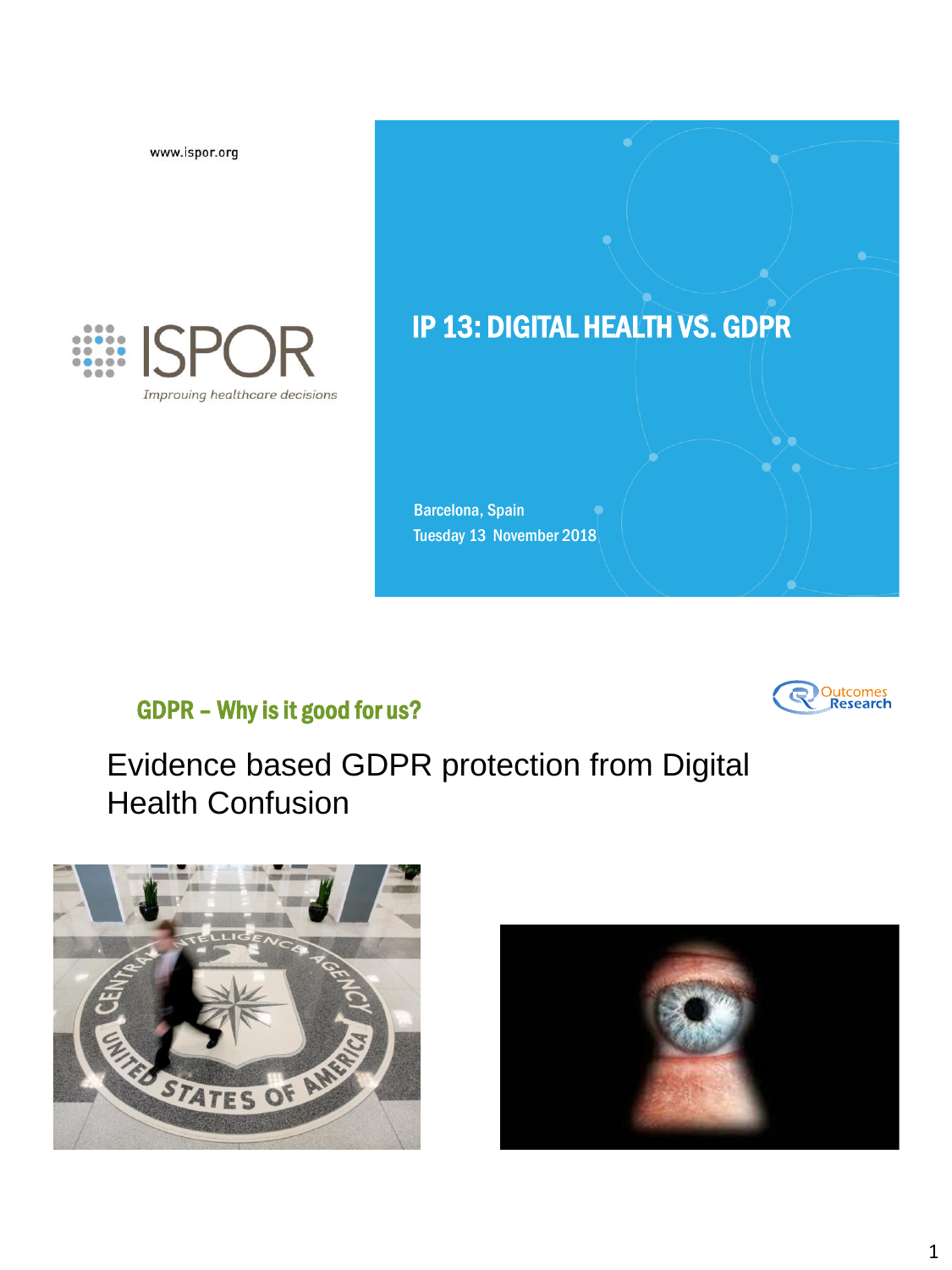www.ispor.org



# IP 13: DIGITAL HEALTH VS. GDPR

Barcelona, Spain Tuesday 13 November 2018

# GDPR – Why is it good for us?



# Evidence based GDPR protection from Digital Health Confusion



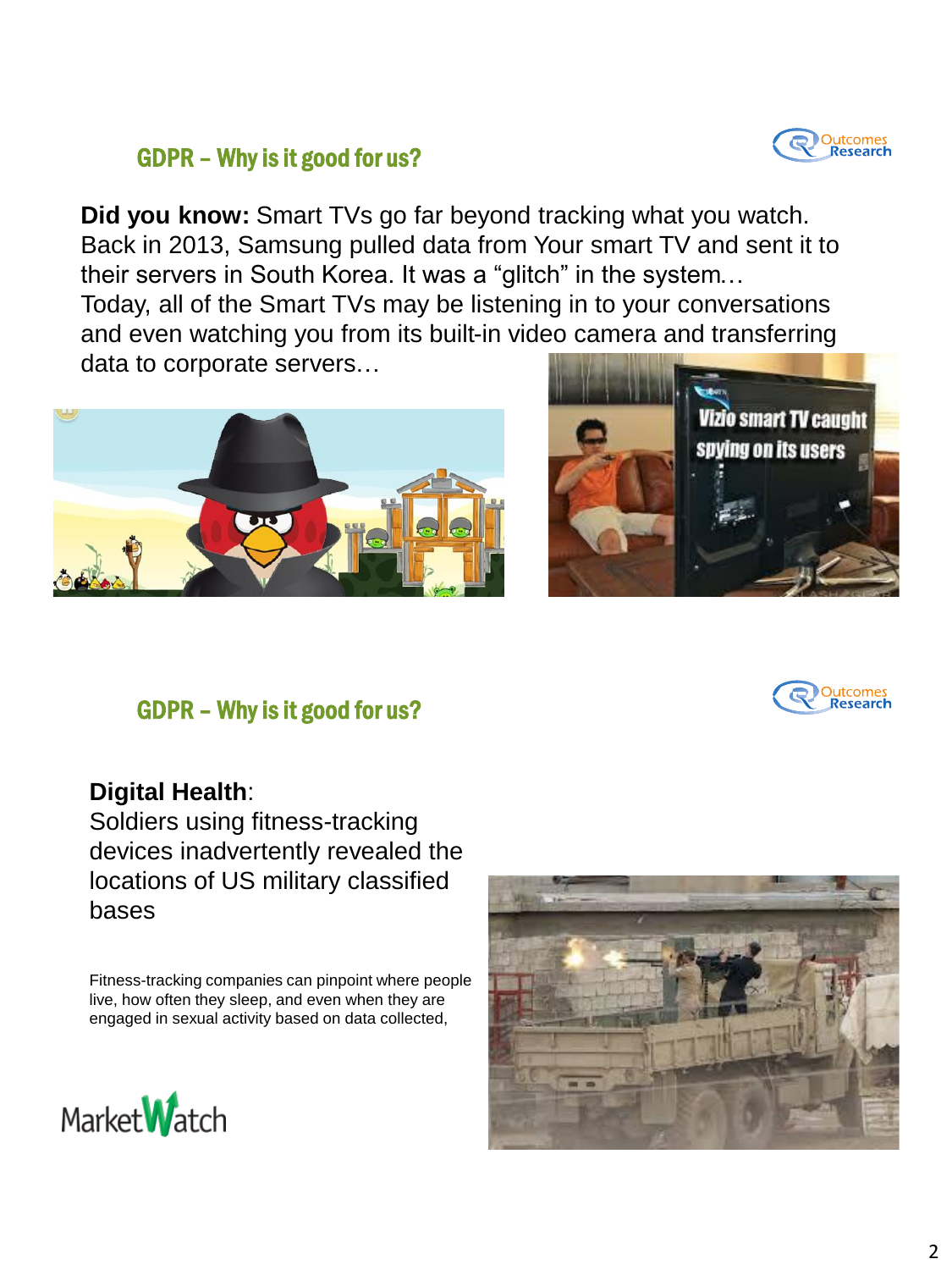

### GDPR – Why is it good for us?

**Did you know:** Smart TVs go far beyond tracking what you watch. Back in 2013, Samsung pulled data from Your smart TV and sent it to their servers in South Korea. It was a "glitch" in the system… Today, all of the Smart TVs may be listening in to your conversations and even watching you from its built-in video camera and transferring data to corporate servers…





#### GDPR – Why is it good for us?



#### **Digital Health**:

Soldiers using fitness-tracking devices inadvertently revealed the locations of US military classified bases

Fitness-tracking companies can pinpoint where people live, how often they sleep, and even when they are engaged in sexual activity based on data collected,



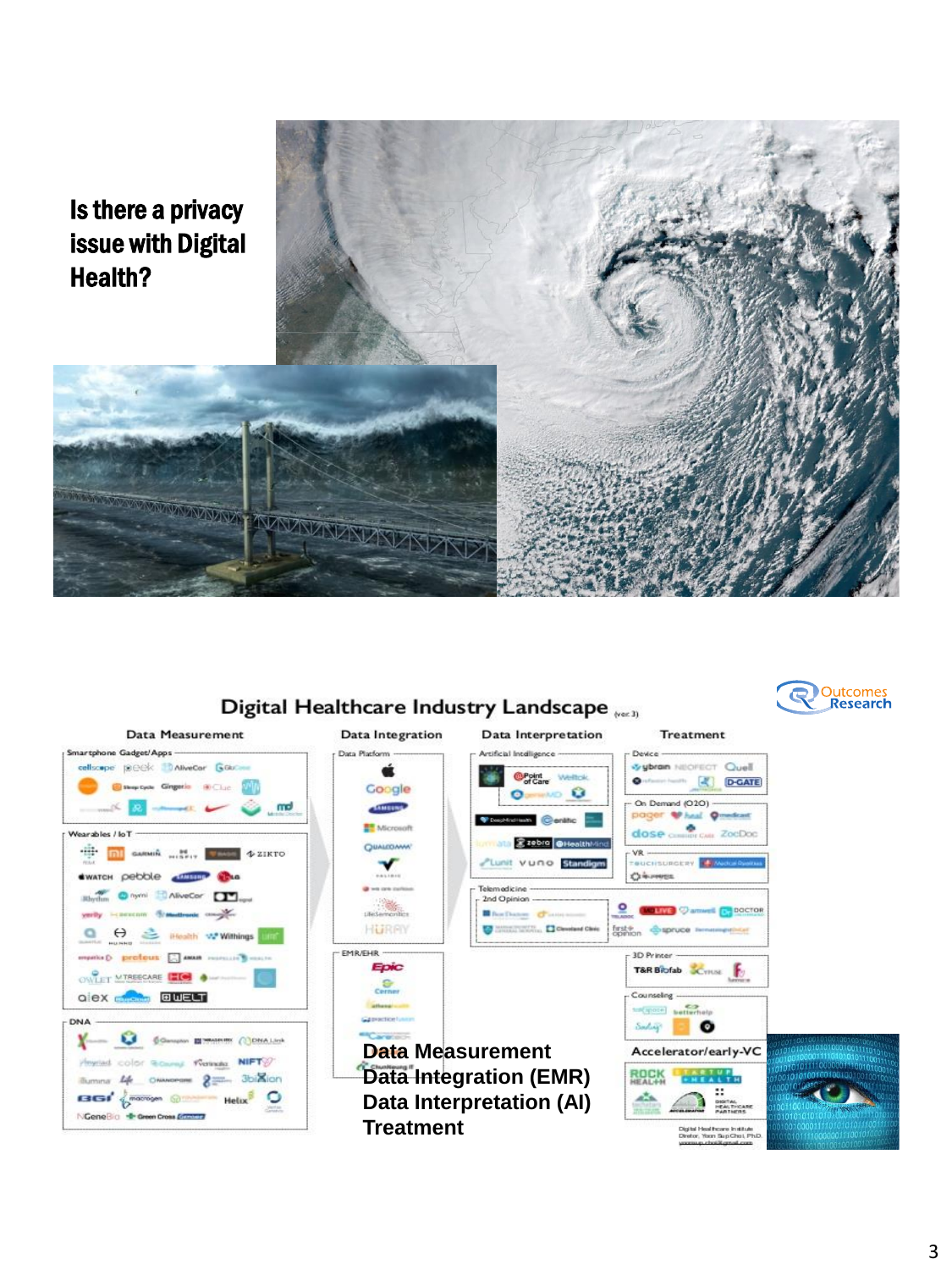# Is there a privacy issue with Digital Health?

**MARKA MARKA MARKARAN** 

#### Digital Healthcare Industry Landscape  $_{\text{test}}$





#### 3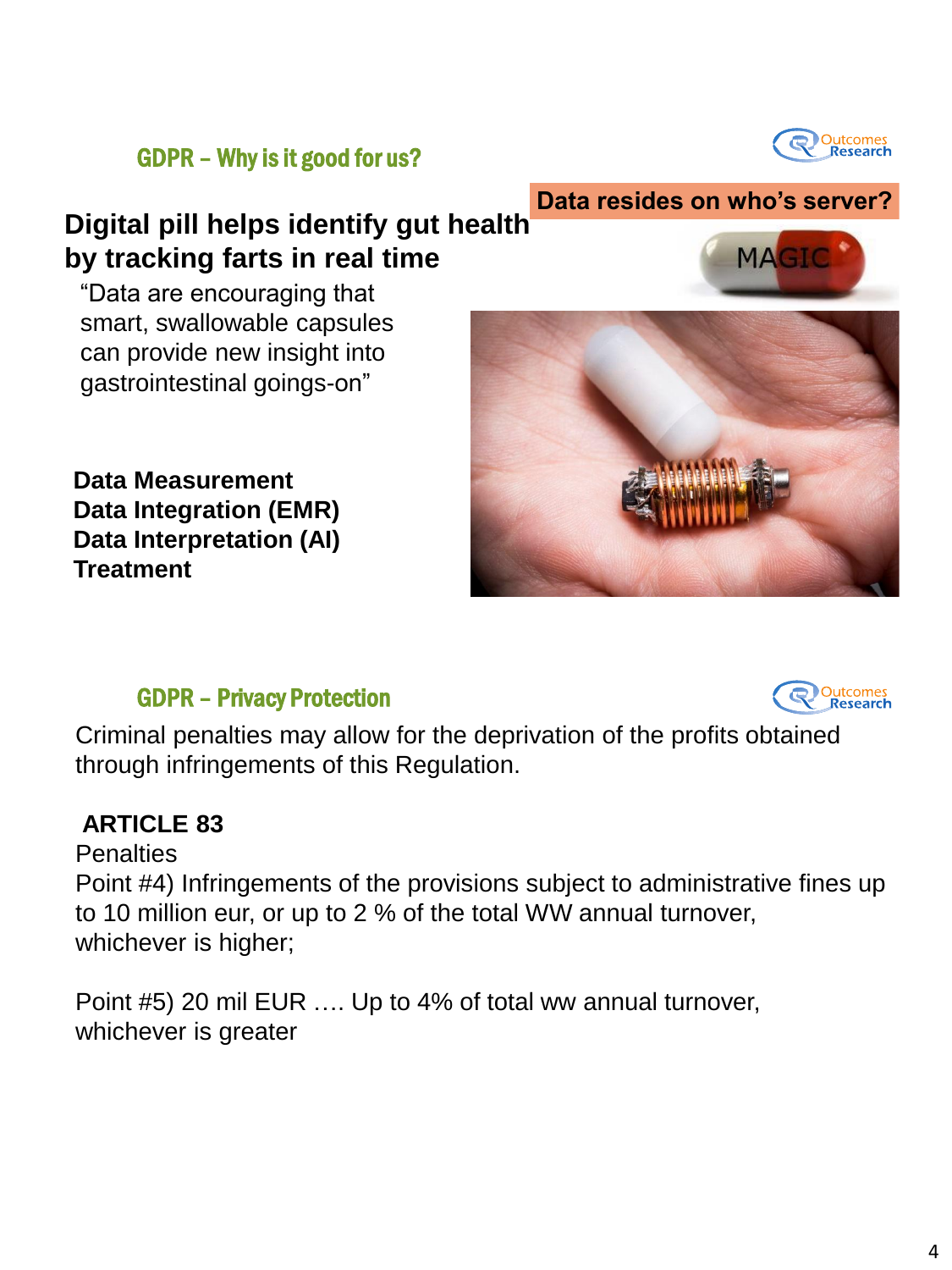

**Data resides on who's server?**

**MAGI** 

GDPR – Why is it good for us?

# **Digital pill helps identify gut health by tracking farts in real time**

"Data are encouraging that smart, swallowable capsules can provide new insight into gastrointestinal goings-on"

**Data Measurement Data Integration (EMR) Data Interpretation (AI) Treatment** 

## GDPR – Privacy Protection



Criminal penalties may allow for the deprivation of the profits obtained through infringements of this Regulation.

## **ARTICLE 83**

**Penalties** 

Point #4) Infringements of the provisions subject to administrative fines up to 10 million eur, or up to 2 % of the total WW annual turnover, whichever is higher;

Point #5) 20 mil EUR …. Up to 4% of total ww annual turnover, whichever is greater